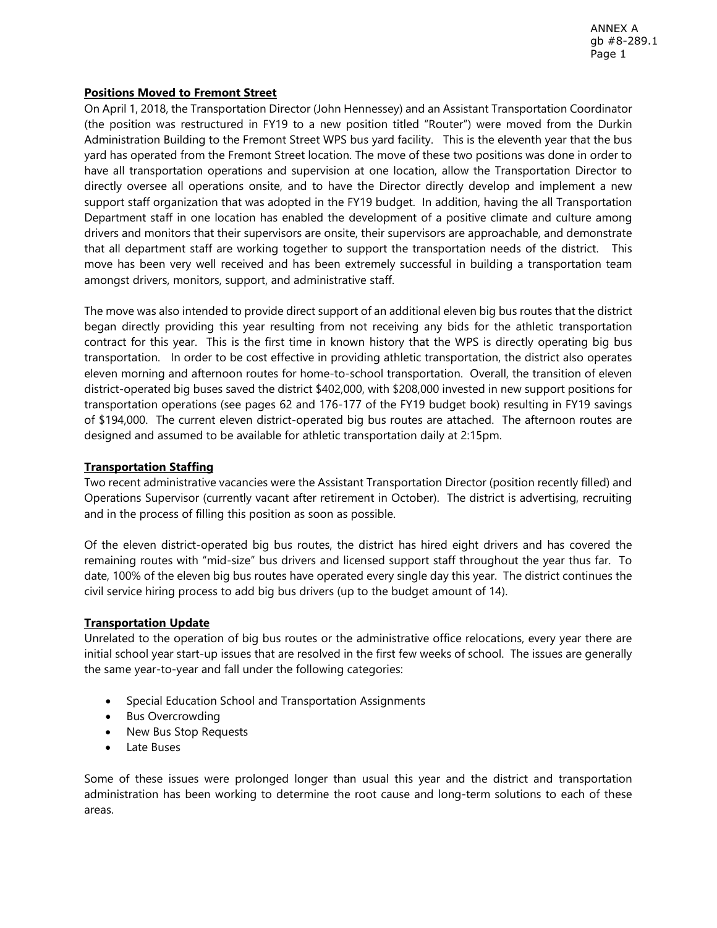## **Positions Moved to Fremont Street**

On April 1, 2018, the Transportation Director (John Hennessey) and an Assistant Transportation Coordinator (the position was restructured in FY19 to a new position titled "Router") were moved from the Durkin Administration Building to the Fremont Street WPS bus yard facility. This is the eleventh year that the bus yard has operated from the Fremont Street location. The move of these two positions was done in order to have all transportation operations and supervision at one location, allow the Transportation Director to directly oversee all operations onsite, and to have the Director directly develop and implement a new support staff organization that was adopted in the FY19 budget. In addition, having the all Transportation Department staff in one location has enabled the development of a positive climate and culture among drivers and monitors that their supervisors are onsite, their supervisors are approachable, and demonstrate that all department staff are working together to support the transportation needs of the district. This move has been very well received and has been extremely successful in building a transportation team amongst drivers, monitors, support, and administrative staff.

The move was also intended to provide direct support of an additional eleven big bus routes that the district began directly providing this year resulting from not receiving any bids for the athletic transportation contract for this year. This is the first time in known history that the WPS is directly operating big bus transportation. In order to be cost effective in providing athletic transportation, the district also operates eleven morning and afternoon routes for home-to-school transportation. Overall, the transition of eleven district-operated big buses saved the district \$402,000, with \$208,000 invested in new support positions for transportation operations (see pages 62 and 176-177 of the FY19 budget book) resulting in FY19 savings of \$194,000. The current eleven district-operated big bus routes are attached. The afternoon routes are designed and assumed to be available for athletic transportation daily at 2:15pm.

# **Transportation Staffing**

Two recent administrative vacancies were the Assistant Transportation Director (position recently filled) and Operations Supervisor (currently vacant after retirement in October). The district is advertising, recruiting and in the process of filling this position as soon as possible.

Of the eleven district-operated big bus routes, the district has hired eight drivers and has covered the remaining routes with "mid-size" bus drivers and licensed support staff throughout the year thus far. To date, 100% of the eleven big bus routes have operated every single day this year. The district continues the civil service hiring process to add big bus drivers (up to the budget amount of 14).

# **Transportation Update**

Unrelated to the operation of big bus routes or the administrative office relocations, every year there are initial school year start-up issues that are resolved in the first few weeks of school. The issues are generally the same year-to-year and fall under the following categories:

- Special Education School and Transportation Assignments
- Bus Overcrowding
- New Bus Stop Requests
- Late Buses

Some of these issues were prolonged longer than usual this year and the district and transportation administration has been working to determine the root cause and long-term solutions to each of these areas.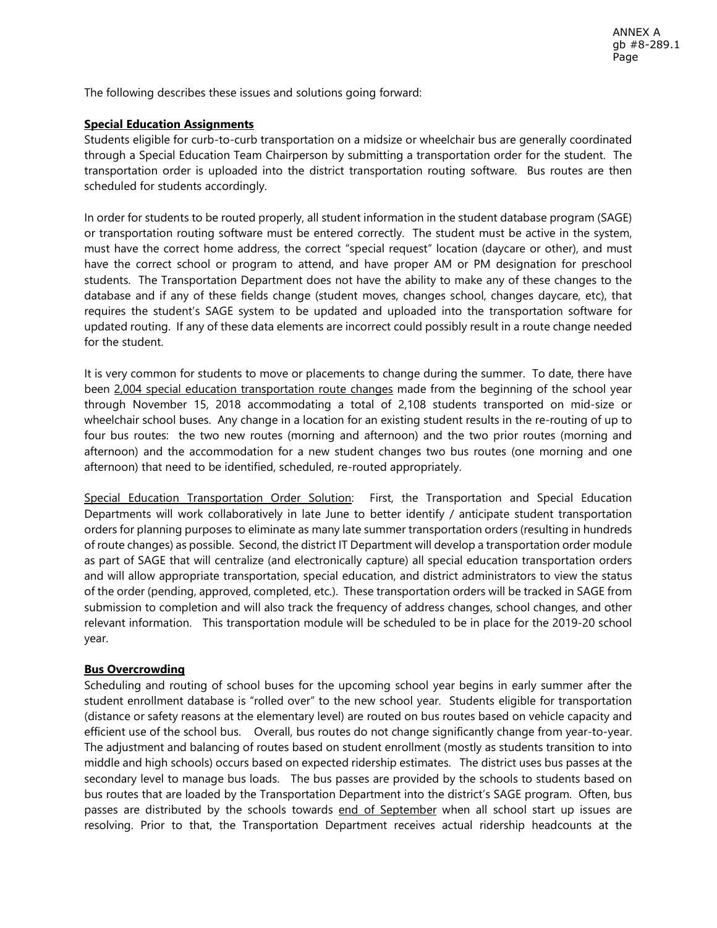The following describes these issues and solutions going forward:

# **Special Education Assignments**

Students eligible for curb-to-curb transportation on a midsize or wheelchair bus are generally coordinated through a Special Education Team Chairperson by submitting a transportation order for the student. The transportation order is uploaded into the district transportation routing software. Bus routes are then scheduled for students accordingly.

In order for students to be routed properly, all student information in the student database program (SAGE) or transportation routing software must be entered correctly. The student must be active in the system, must have the correct home address, the correct "special request" location (daycare or other), and must have the correct school or program to attend, and have proper AM or PM designation for preschool students. The Transportation Department does not have the ability to make any of these changes to the database and if any of these fields change (student moves, changes school, changes daycare, etc), that requires the student's SAGE system to be updated and uploaded into the transportation software for updated routing. If any of these data elements are incorrect could possibly result in a route change needed for the student.

It is very common for students to move or placements to change during the summer. To date, there have been 2,004 special education transportation route changes made from the beginning of the school year through November 15, 2018 accommodating a total of 2,108 students transported on mid-size or wheelchair school buses. Any change in a location for an existing student results in the re-routing of up to four bus routes: the two new routes (morning and afternoon) and the two prior routes (morning and afternoon) and the accommodation for a new student changes two bus routes (one morning and one afternoon) that need to be identified, scheduled, re-routed appropriately.

Special Education Transportation Order Solution: First, the Transportation and Special Education Departments will work collaboratively in late June to better identify / anticipate student transportation orders for planning purposes to eliminate as many late summer transportation orders (resulting in hundreds of route changes) as possible. Second, the district IT Department will develop a transportation order module as part of SAGE that will centralize (and electronically capture) all special education transportation orders and will allow appropriate transportation, special education, and district administrators to view the status of the order (pending, approved, completed, etc.). These transportation orders will be tracked in SAGE from submission to completion and will also track the frequency of address changes, school changes, and other relevant information. This transportation module will be scheduled to be in place for the 2019-20 school year.

# **Bus Overcrowding**

Scheduling and routing of school buses for the upcoming school year begins in early summer after the student enrollment database is "rolled over" to the new school year. Students eligible for transportation (distance or safety reasons at the elementary level) are routed on bus routes based on vehicle capacity and efficient use of the school bus. Overall, bus routes do not change significantly change from year-to-year. The adjustment and balancing of routes based on student enrollment (mostly as students transition to into middle and high schools) occurs based on expected ridership estimates. The district uses bus passes at the secondary level to manage bus loads. The bus passes are provided by the schools to students based on bus routes that are loaded by the Transportation Department into the district's SAGE program. Often, bus passes are distributed by the schools towards end of September when all school start up issues are resolving. Prior to that, the Transportation Department receives actual ridership headcounts at the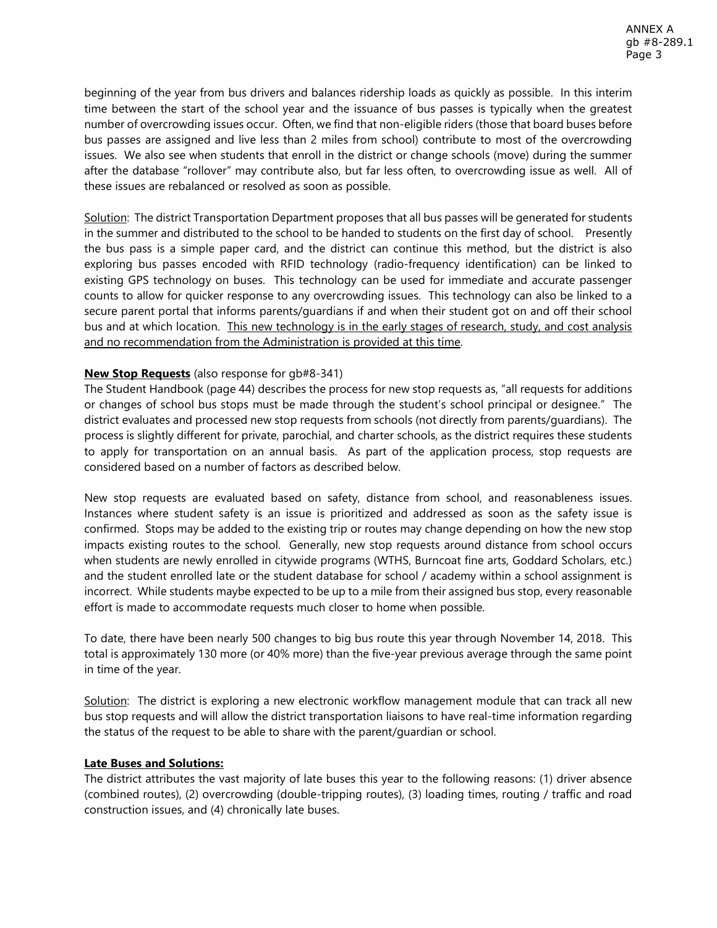beginning of the year from bus drivers and balances ridership loads as quickly as possible. In this interim time between the start of the school year and the issuance of bus passes is typically when the greatest number of overcrowding issues occur. Often, we find that non-eligible riders (those that board buses before bus passes are assigned and live less than 2 miles from school) contribute to most of the overcrowding issues. We also see when students that enroll in the district or change schools (move) during the summer after the database "rollover" may contribute also, but far less often, to overcrowding issue as well. All of these issues are rebalanced or resolved as soon as possible.

Solution: The district Transportation Department proposes that all bus passes will be generated for students in the summer and distributed to the school to be handed to students on the first day of school. Presently the bus pass is a simple paper card, and the district can continue this method, but the district is also exploring bus passes encoded with RFID technology (radio-frequency identification) can be linked to existing GPS technology on buses. This technology can be used for immediate and accurate passenger counts to allow for quicker response to any overcrowding issues. This technology can also be linked to a secure parent portal that informs parents/guardians if and when their student got on and off their school bus and at which location. This new technology is in the early stages of research, study, and cost analysis and no recommendation from the Administration is provided at this time.

# **New Stop Requests** (also response for gb#8-341)

The Student Handbook (page 44) describes the process for new stop requests as, "all requests for additions or changes of school bus stops must be made through the student's school principal or designee." The district evaluates and processed new stop requests from schools (not directly from parents/guardians). The process is slightly different for private, parochial, and charter schools, as the district requires these students to apply for transportation on an annual basis. As part of the application process, stop requests are considered based on a number of factors as described below.

New stop requests are evaluated based on safety, distance from school, and reasonableness issues. Instances where student safety is an issue is prioritized and addressed as soon as the safety issue is confirmed. Stops may be added to the existing trip or routes may change depending on how the new stop impacts existing routes to the school. Generally, new stop requests around distance from school occurs when students are newly enrolled in citywide programs (WTHS, Burncoat fine arts, Goddard Scholars, etc.) and the student enrolled late or the student database for school / academy within a school assignment is incorrect. While students maybe expected to be up to a mile from their assigned bus stop, every reasonable effort is made to accommodate requests much closer to home when possible.

To date, there have been nearly 500 changes to big bus route this year through November 14, 2018. This total is approximately 130 more (or 40% more) than the five-year previous average through the same point in time of the year.

Solution: The district is exploring a new electronic workflow management module that can track all new bus stop requests and will allow the district transportation liaisons to have real-time information regarding the status of the request to be able to share with the parent/guardian or school.

# **Late Buses and Solutions:**

The district attributes the vast majority of late buses this year to the following reasons: (1) driver absence (combined routes), (2) overcrowding (double-tripping routes), (3) loading times, routing / traffic and road construction issues, and (4) chronically late buses.